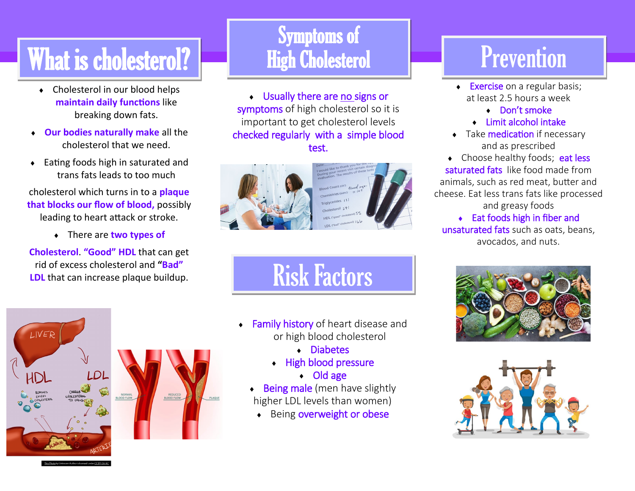## What is cholesterol?

- Cholesterol in our blood helps **maintain daily functions** like breaking down fats.
- **Our bodies naturally make** all the cholesterol that we need.
- ◆ Eating foods high in saturated and trans fats leads to too much

cholesterol which turns in to a **plaque that blocks our flow of blood,** possibly leading to heart attack or stroke.

There are **two types of** 

**Cholesterol**. **"Good" HDL** that can get rid of excess cholesterol and **"Bad" LDL** that can increase plaque buildup.

#### Symptoms of High Cholesterol

 Usually there are no signs or symptoms of high cholesterol so it is important to get cholesterol levels checked regularly with a simple blood test.



Risk Factors

- **Family history** of heart disease and or high blood cholesterol
	- Diabetes
	- High blood pressure
		- Old age
	- Being male (men have slightly higher LDL levels than women)
	- ◆ Being overweight or obese

### **Prevention**

- Exercise on a regular basis; at least 2.5 hours a week
	- Don't smoke
	- Limit alcohol intake
- Take medication if necessary and as prescribed

• Choose healthy foods; eat less saturated fats like food made from animals, such as red meat, butter and cheese. Eat less trans fats like processed

#### and greasy foods Eat foods high in fiber and

unsaturated fats such as oats, beans, avocados, and nuts.